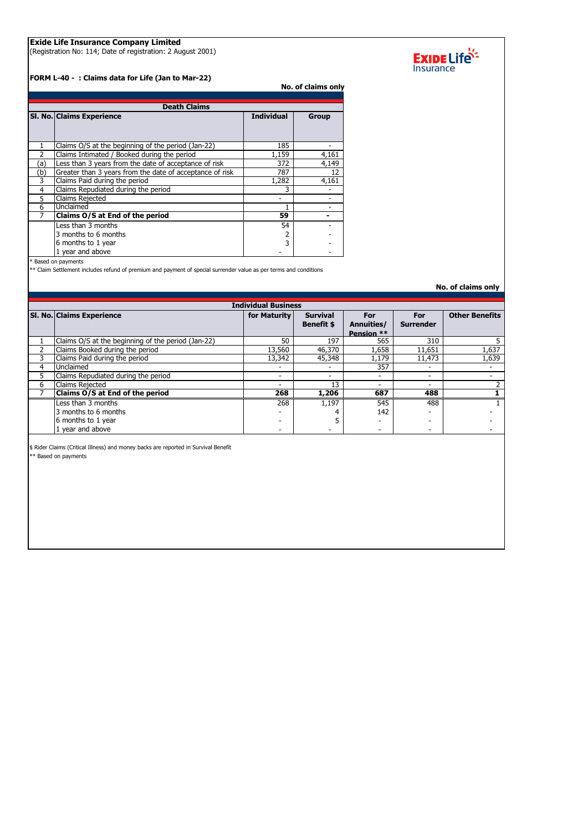## **Exide Life Insurance Company Limited**

(Registration No: 114; Date of registration: 2 August 2001)

**FORM L-40 - : Claims data for Life (Jan to Mar-22)**

**No. of claims only**

| <b>Death Claims</b> |                                                          |                   |              |  |  |
|---------------------|----------------------------------------------------------|-------------------|--------------|--|--|
|                     | SI. No. Claims Experience                                | <b>Individual</b> | <b>Group</b> |  |  |
|                     | Claims O/S at the beginning of the period (Jan-22)       | 185               |              |  |  |
|                     | Claims Intimated / Booked during the period              | 1,159             | 4,161        |  |  |
| (a)                 | Less than 3 years from the date of acceptance of risk    | 372               | 4,149        |  |  |
| (b)                 | Greater than 3 years from the date of acceptance of risk | 787               | 12           |  |  |
| 3                   | Claims Paid during the period                            | 1,282             | 4,161        |  |  |
| 4                   | Claims Repudiated during the period                      | 3                 |              |  |  |
| 5                   | Claims Rejected                                          |                   |              |  |  |
| 6                   | Unclaimed                                                |                   |              |  |  |
|                     | Claims O/S at End of the period                          | 59                |              |  |  |
|                     | Less than 3 months                                       | 54                |              |  |  |
|                     | 3 months to 6 months                                     |                   |              |  |  |
|                     | 6 months to 1 year                                       | ς                 |              |  |  |
|                     | 1 year and above                                         |                   |              |  |  |

\* Based on payments

\*\* Claim Settlement includes refund of premium and payment of special surrender value as per terms and conditions

**No. of claims only**

| <b>Individual Business</b> |                                                    |              |                   |            |                  |                       |
|----------------------------|----------------------------------------------------|--------------|-------------------|------------|------------------|-----------------------|
|                            | SI. No. Claims Experience                          | for Maturity | <b>Survival</b>   | For        | For              | <b>Other Benefits</b> |
|                            |                                                    |              | <b>Benefit \$</b> | Annuities/ | <b>Surrender</b> |                       |
|                            |                                                    |              |                   | Pension ** |                  |                       |
|                            | Claims O/S at the beginning of the period (Jan-22) | 50           | 197               | 565        | 310              |                       |
|                            | Claims Booked during the period                    | 13,560       | 46,370            | 1,658      | 11,651           | 1,637                 |
|                            | Claims Paid during the period                      | 13,342       | 45,348            | 1,179      | 11,473           | 1,639                 |
| 4                          | Unclaimed                                          |              |                   | 357        |                  |                       |
| 5.                         | Claims Repudiated during the period                | ۰            | -                 | -          | -                |                       |
| 6                          | Claims Rejected                                    |              | 13                | -          |                  |                       |
|                            | Claims O/S at End of the period                    | 268          | 1,206             | 687        | 488              |                       |
|                            | Less than 3 months                                 | 268          | 1.197             | 545        | 488              |                       |
|                            | 3 months to 6 months                               |              |                   | 142        |                  |                       |
|                            | 6 months to 1 year                                 |              |                   |            |                  |                       |
|                            | 1 year and above                                   | -            |                   | -          |                  |                       |

\$ Rider Claims (Critical Illness) and money backs are reported in Survival Benefit

\*\* Based on payments